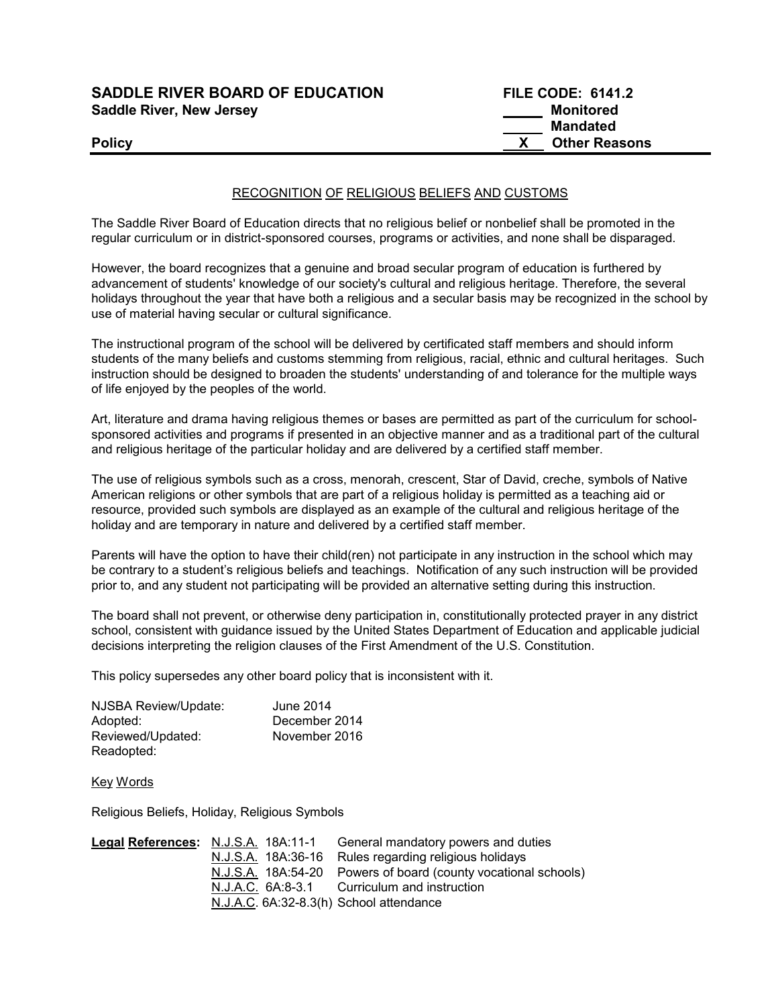# SADDLE RIVER BOARD OF EDUCATION FILE CODE: 6141.2 Saddle River, New Jersey Monitored Monitored

# Mandated **Policy CONSERVING CONSERVATION CONSERVATION CONSERVATION CONSERVATION CONSERVATION CONSERVATION CONSERVATION CONSERVATION CONSERVATION CONSERVATION CONSERVATION CONSERVATION CONSERVATION CONSERVATION CONSERVATION CONSER**

## RECOGNITION OF RELIGIOUS BELIEFS AND CUSTOMS

The Saddle River Board of Education directs that no religious belief or nonbelief shall be promoted in the regular curriculum or in district-sponsored courses, programs or activities, and none shall be disparaged.

However, the board recognizes that a genuine and broad secular program of education is furthered by advancement of students' knowledge of our society's cultural and religious heritage. Therefore, the several holidays throughout the year that have both a religious and a secular basis may be recognized in the school by use of material having secular or cultural significance.

The instructional program of the school will be delivered by certificated staff members and should inform students of the many beliefs and customs stemming from religious, racial, ethnic and cultural heritages. Such instruction should be designed to broaden the students' understanding of and tolerance for the multiple ways of life enjoyed by the peoples of the world.

Art, literature and drama having religious themes or bases are permitted as part of the curriculum for schoolsponsored activities and programs if presented in an objective manner and as a traditional part of the cultural and religious heritage of the particular holiday and are delivered by a certified staff member.

The use of religious symbols such as a cross, menorah, crescent, Star of David, creche, symbols of Native American religions or other symbols that are part of a religious holiday is permitted as a teaching aid or resource, provided such symbols are displayed as an example of the cultural and religious heritage of the holiday and are temporary in nature and delivered by a certified staff member.

Parents will have the option to have their child(ren) not participate in any instruction in the school which may be contrary to a student's religious beliefs and teachings. Notification of any such instruction will be provided prior to, and any student not participating will be provided an alternative setting during this instruction.

The board shall not prevent, or otherwise deny participation in, constitutionally protected prayer in any district school, consistent with guidance issued by the United States Department of Education and applicable judicial decisions interpreting the religion clauses of the First Amendment of the U.S. Constitution.

This policy supersedes any other board policy that is inconsistent with it.

| NJSBA Review/Update: | June 2014     |
|----------------------|---------------|
| Adopted:             | December 2014 |
| Reviewed/Updated:    | November 2016 |
| Readopted:           |               |

Key Words

Religious Beliefs, Holiday, Religious Symbols

| Legal References: N.J.S.A. 18A:11-1     | General mandatory powers and duties                            |
|-----------------------------------------|----------------------------------------------------------------|
|                                         | N.J.S.A. 18A:36-16 Rules regarding religious holidays          |
|                                         | N.J.S.A. 18A:54-20 Powers of board (county vocational schools) |
|                                         | N.J.A.C. 6A:8-3.1 Curriculum and instruction                   |
| N.J.A.C. 6A:32-8.3(h) School attendance |                                                                |